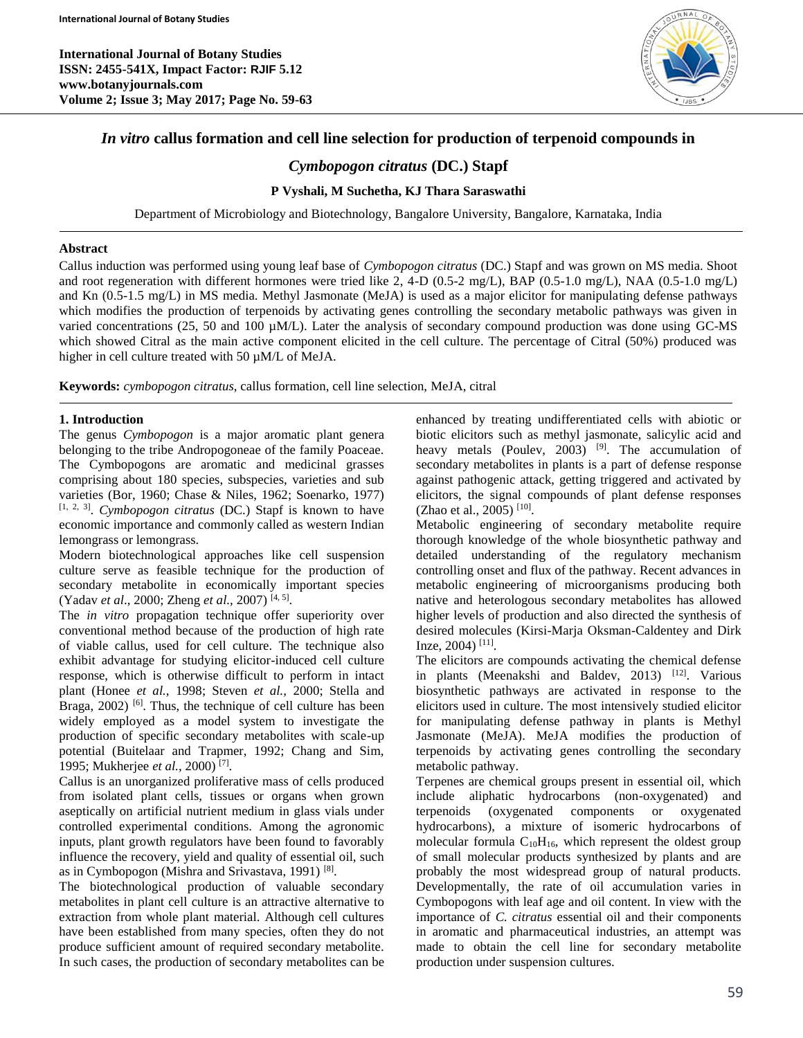**International Journal of Botany Studies ISSN: 2455-541X, Impact Factor: RJIF 5.12 www.botanyjournals.com Volume 2; Issue 3; May 2017; Page No. 59-63**



# *In vitro* **callus formation and cell line selection for production of terpenoid compounds in**

# *Cymbopogon citratus* **(DC.) Stapf**

## **P Vyshali, M Suchetha, KJ Thara Saraswathi**

Department of Microbiology and Biotechnology, Bangalore University, Bangalore, Karnataka, India

#### **Abstract**

Callus induction was performed using young leaf base of *Cymbopogon citratus* (DC.) Stapf and was grown on MS media. Shoot and root regeneration with different hormones were tried like 2, 4-D (0.5-2 mg/L), BAP (0.5-1.0 mg/L), NAA (0.5-1.0 mg/L) and Kn (0.5-1.5 mg/L) in MS media. Methyl Jasmonate (MeJA) is used as a major elicitor for manipulating defense pathways which modifies the production of terpenoids by activating genes controlling the secondary metabolic pathways was given in varied concentrations (25, 50 and 100 µM/L). Later the analysis of secondary compound production was done using GC-MS which showed Citral as the main active component elicited in the cell culture. The percentage of Citral (50%) produced was higher in cell culture treated with 50  $\mu$ M/L of MeJA.

**Keywords:** *cymbopogon citratus*, callus formation, cell line selection, MeJA, citral

## **1. Introduction**

The genus *Cymbopogon* is a major aromatic plant genera belonging to the tribe Andropogoneae of the family Poaceae. The Cymbopogons are aromatic and medicinal grasses comprising about 180 species, subspecies, varieties and sub varieties (Bor, 1960; Chase & Niles, 1962; Soenarko, 1977) [1, 2, 3] . *Cymbopogon citratus* (DC.) Stapf is known to have economic importance and commonly called as western Indian lemongrass or lemongrass.

Modern biotechnological approaches like cell suspension culture serve as feasible technique for the production of secondary metabolite in economically important species (Yadav *et al*., 2000; Zheng *et al.,* 2007) [4, 5] .

The *in vitro* propagation technique offer superiority over conventional method because of the production of high rate of viable callus, used for cell culture. The technique also exhibit advantage for studying elicitor-induced cell culture response, which is otherwise difficult to perform in intact plant (Honee *et al.,* 1998; Steven *et al.,* 2000; Stella and Braga,  $2002$ ) <sup>[6]</sup>. Thus, the technique of cell culture has been widely employed as a model system to investigate the production of specific secondary metabolites with scale-up potential (Buitelaar and Trapmer, 1992; Chang and Sim, 1995; Mukherjee *et al.,* 2000) [7] .

Callus is an unorganized proliferative mass of cells produced from isolated plant cells, tissues or organs when grown aseptically on artificial nutrient medium in glass vials under controlled experimental conditions. Among the agronomic inputs, plant growth regulators have been found to favorably influence the recovery, yield and quality of essential oil, such as in Cymbopogon (Mishra and Srivastava, 1991)<sup>[8]</sup>.

The biotechnological production of valuable secondary metabolites in plant cell culture is an attractive alternative to extraction from whole plant material. Although cell cultures have been established from many species, often they do not produce sufficient amount of required secondary metabolite. In such cases, the production of secondary metabolites can be

enhanced by treating undifferentiated cells with abiotic or biotic elicitors such as methyl jasmonate, salicylic acid and heavy metals (Poulev,  $2003$ )<sup>[9]</sup>. The accumulation of secondary metabolites in plants is a part of defense response against pathogenic attack, getting triggered and activated by elicitors, the signal compounds of plant defense responses (Zhao et al., 2005)<sup>[10]</sup>.

Metabolic engineering of secondary metabolite require thorough knowledge of the whole biosynthetic pathway and detailed understanding of the regulatory mechanism controlling onset and flux of the pathway. Recent advances in metabolic engineering of microorganisms producing both native and heterologous secondary metabolites has allowed higher levels of production and also directed the synthesis of desired molecules (Kirsi-Marja Oksman-Caldentey and Dirk Inze, 2004)<sup>[11]</sup>.

The elicitors are compounds activating the chemical defense in plants (Meenakshi and Baldev, 2013) [12]. Various biosynthetic pathways are activated in response to the elicitors used in culture. The most intensively studied elicitor for manipulating defense pathway in plants is Methyl Jasmonate (MeJA). MeJA modifies the production of terpenoids by activating genes controlling the secondary metabolic pathway.

Terpenes are chemical groups present in essential oil, which include aliphatic hydrocarbons (non-oxygenated) and terpenoids (oxygenated components or hydrocarbons), a mixture of isomeric hydrocarbons of molecular formula  $C_{10}H_{16}$ , which represent the oldest group of small molecular products synthesized by plants and are probably the most widespread group of natural products. Developmentally, the rate of oil accumulation varies in Cymbopogons with leaf age and oil content. In view with the importance of *C. citratus* essential oil and their components in aromatic and pharmaceutical industries, an attempt was made to obtain the cell line for secondary metabolite production under suspension cultures.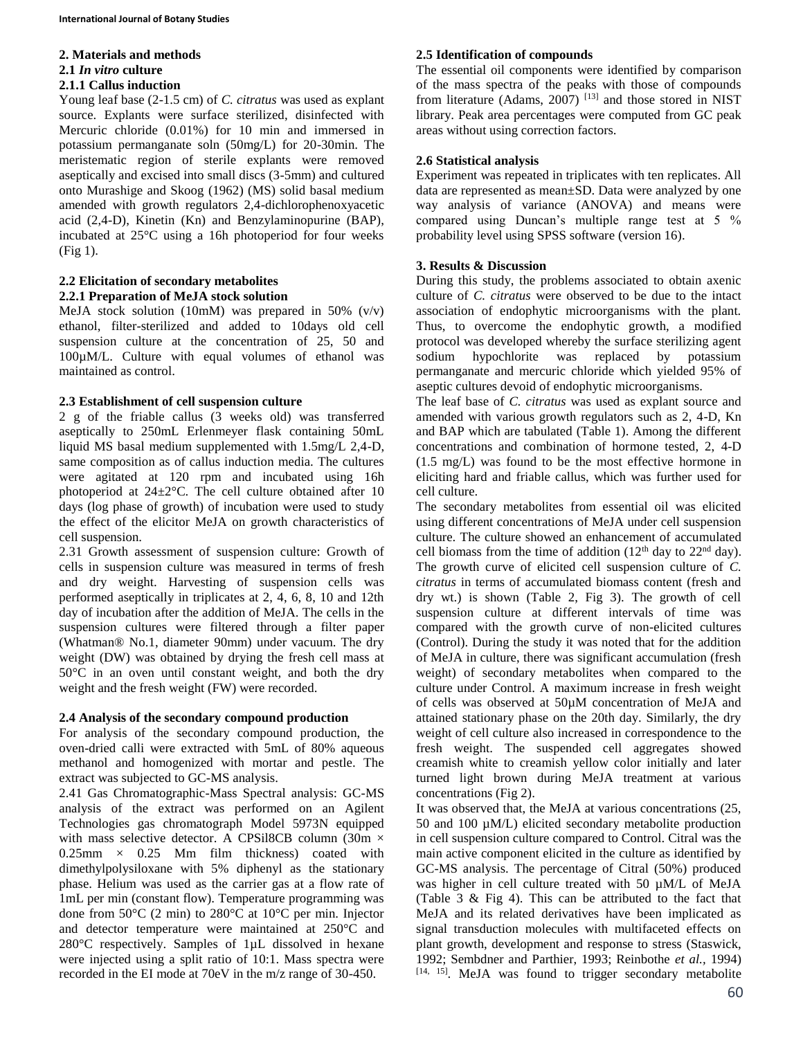#### **2. Materials and methods**

#### **2.1** *In vitro* **culture**

#### **2.1.1 Callus induction**

Young leaf base (2-1.5 cm) of *C. citratus* was used as explant source. Explants were surface sterilized, disinfected with Mercuric chloride (0.01%) for 10 min and immersed in potassium permanganate soln (50mg/L) for 20-30min. The meristematic region of sterile explants were removed aseptically and excised into small discs (3-5mm) and cultured onto Murashige and Skoog (1962) (MS) solid basal medium amended with growth regulators 2,4-dichlorophenoxyacetic acid (2,4-D), Kinetin (Kn) and Benzylaminopurine (BAP), incubated at 25°C using a 16h photoperiod for four weeks (Fig 1).

# **2.2 Elicitation of secondary metabolites**

# **2.2.1 Preparation of MeJA stock solution**

MeJA stock solution (10mM) was prepared in 50% (v/v) ethanol, filter-sterilized and added to 10days old cell suspension culture at the concentration of 25, 50 and 100µM/L. Culture with equal volumes of ethanol was maintained as control.

## **2.3 Establishment of cell suspension culture**

2 g of the friable callus (3 weeks old) was transferred aseptically to 250mL Erlenmeyer flask containing 50mL liquid MS basal medium supplemented with 1.5mg/L 2,4-D, same composition as of callus induction media. The cultures were agitated at 120 rpm and incubated using 16h photoperiod at 24±2°C. The cell culture obtained after 10 days (log phase of growth) of incubation were used to study the effect of the elicitor MeJA on growth characteristics of cell suspension.

2.31 Growth assessment of suspension culture: Growth of cells in suspension culture was measured in terms of fresh and dry weight. Harvesting of suspension cells was performed aseptically in triplicates at 2, 4, 6, 8, 10 and 12th day of incubation after the addition of MeJA. The cells in the suspension cultures were filtered through a filter paper (Whatman® No.1, diameter 90mm) under vacuum. The dry weight (DW) was obtained by drying the fresh cell mass at 50°C in an oven until constant weight, and both the dry weight and the fresh weight (FW) were recorded.

# **2.4 Analysis of the secondary compound production**

For analysis of the secondary compound production, the oven-dried calli were extracted with 5mL of 80% aqueous methanol and homogenized with mortar and pestle. The extract was subjected to GC-MS analysis.

2.41 Gas Chromatographic-Mass Spectral analysis: GC-MS analysis of the extract was performed on an Agilent Technologies gas chromatograph Model 5973N equipped with mass selective detector. A CPSil8CB column (30m  $\times$  $0.25$ mm  $\times$  0.25 Mm film thickness) coated with dimethylpolysiloxane with 5% diphenyl as the stationary phase. Helium was used as the carrier gas at a flow rate of 1mL per min (constant flow). Temperature programming was done from 50°C (2 min) to 280°C at 10°C per min. Injector and detector temperature were maintained at 250°C and 280°C respectively. Samples of 1µL dissolved in hexane were injected using a split ratio of 10:1. Mass spectra were recorded in the EI mode at 70eV in the m/z range of 30-450.

## **2.5 Identification of compounds**

The essential oil components were identified by comparison of the mass spectra of the peaks with those of compounds from literature (Adams,  $2007$ )<sup>[13]</sup> and those stored in NIST library. Peak area percentages were computed from GC peak areas without using correction factors.

## **2.6 Statistical analysis**

Experiment was repeated in triplicates with ten replicates. All data are represented as mean±SD. Data were analyzed by one way analysis of variance (ANOVA) and means were compared using Duncan's multiple range test at 5 % probability level using SPSS software (version 16).

# **3. Results & Discussion**

During this study, the problems associated to obtain axenic culture of *C. citratus* were observed to be due to the intact association of endophytic microorganisms with the plant. Thus, to overcome the endophytic growth, a modified protocol was developed whereby the surface sterilizing agent sodium hypochlorite was replaced by potassium permanganate and mercuric chloride which yielded 95% of aseptic cultures devoid of endophytic microorganisms.

The leaf base of *C. citratus* was used as explant source and amended with various growth regulators such as 2, 4-D, Kn and BAP which are tabulated (Table 1). Among the different concentrations and combination of hormone tested, 2, 4-D (1.5 mg/L) was found to be the most effective hormone in eliciting hard and friable callus, which was further used for cell culture.

The secondary metabolites from essential oil was elicited using different concentrations of MeJA under cell suspension culture. The culture showed an enhancement of accumulated cell biomass from the time of addition  $(12<sup>th</sup>$  day to  $22<sup>nd</sup>$  day). The growth curve of elicited cell suspension culture of *C. citratus* in terms of accumulated biomass content (fresh and dry wt.) is shown (Table 2, Fig 3). The growth of cell suspension culture at different intervals of time was compared with the growth curve of non-elicited cultures (Control). During the study it was noted that for the addition of MeJA in culture, there was significant accumulation (fresh weight) of secondary metabolites when compared to the culture under Control. A maximum increase in fresh weight of cells was observed at 50µM concentration of MeJA and attained stationary phase on the 20th day. Similarly, the dry weight of cell culture also increased in correspondence to the fresh weight. The suspended cell aggregates showed creamish white to creamish yellow color initially and later turned light brown during MeJA treatment at various concentrations (Fig 2).

It was observed that, the MeJA at various concentrations (25, 50 and 100 µM/L) elicited secondary metabolite production in cell suspension culture compared to Control. Citral was the main active component elicited in the culture as identified by GC-MS analysis. The percentage of Citral (50%) produced was higher in cell culture treated with 50 µM/L of MeJA (Table 3 & Fig 4). This can be attributed to the fact that MeJA and its related derivatives have been implicated as signal transduction molecules with multifaceted effects on plant growth, development and response to stress (Staswick, 1992; Sembdner and Parthier, 1993; Reinbothe *et al.,* 1994) [14, 15]. MeJA was found to trigger secondary metabolite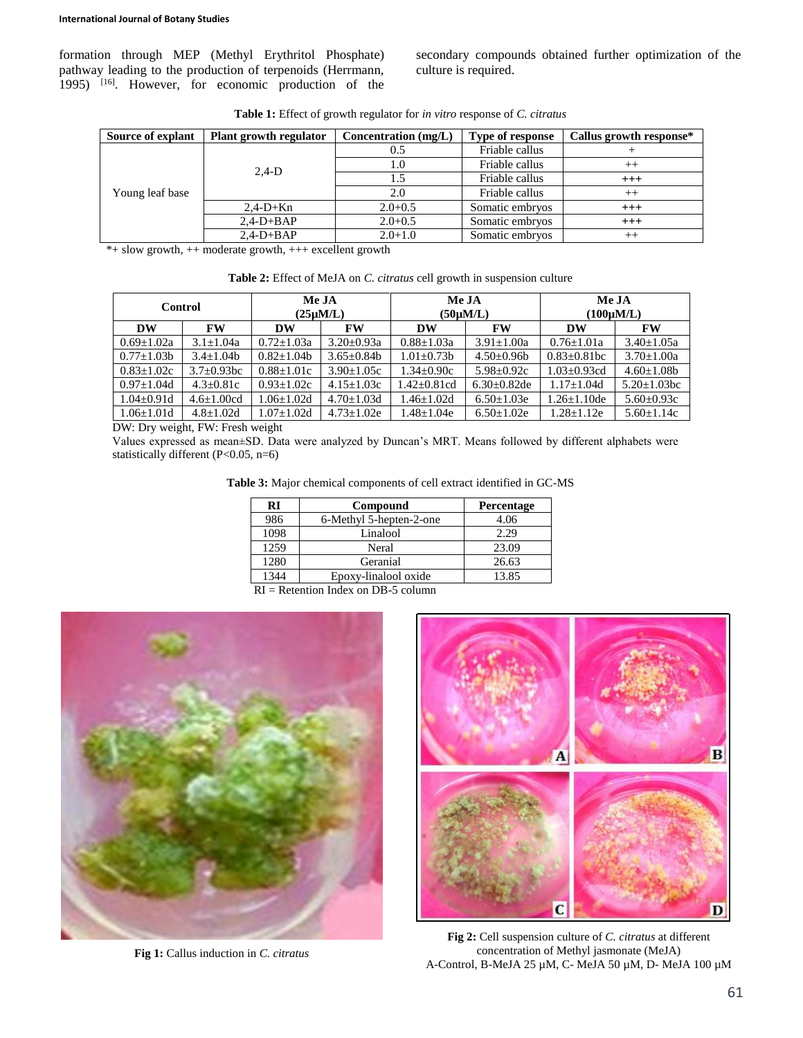formation through MEP (Methyl Erythritol Phosphate) pathway leading to the production of terpenoids (Herrmann, 1995) [16] . However, for economic production of the secondary compounds obtained further optimization of the culture is required.

| Source of explant | Plant growth regulator | Concentration $(mg/L)$ | <b>Type of response</b> | Callus growth response* |
|-------------------|------------------------|------------------------|-------------------------|-------------------------|
| Young leaf base   | $2,4-D$                | 0.5                    | Friable callus          |                         |
|                   |                        | 1.0                    | Friable callus          | $^{++}$                 |
|                   |                        | 1.5                    | Friable callus          | $^{+++}$                |
|                   |                        | 2.0                    | Friable callus          | $^{++}$                 |
|                   | $2,4-D+Kn$             | $2.0 + 0.5$            | Somatic embryos         | $^{+++}$                |
|                   | $2,4-D+BAP$            | $2.0 + 0.5$            | Somatic embryos         | $^{+++}$                |
|                   | $2,4-D+BAP$            | $2.0 + 1.0$            | Somatic embryos         | $^{++}$                 |

**Table 1:** Effect of growth regulator for *in vitro* response of *C. citratus*

\*+ slow growth, ++ moderate growth, +++ excellent growth

| Table 2: Effect of MeJA on C. citratus cell growth in suspension culture |  |  |  |  |  |  |  |
|--------------------------------------------------------------------------|--|--|--|--|--|--|--|
|--------------------------------------------------------------------------|--|--|--|--|--|--|--|

| Control           |                   | Me JA<br>$(25 \mu M/L)$ |                   | Me JA<br>$(50 \mu M/L)$ |                  | Me JA<br>$(100 \mu M/L)$ |                    |  |
|-------------------|-------------------|-------------------------|-------------------|-------------------------|------------------|--------------------------|--------------------|--|
| DW                | <b>FW</b>         | <b>DW</b>               | <b>FW</b>         | DW                      | <b>FW</b>        | DW                       | FW                 |  |
| $0.69 \pm 1.02a$  | $3.1 \pm 1.04a$   | $0.72 \pm 1.03a$        | $3.20 + 0.93a$    | $0.88 \pm 1.03a$        | $3.91 \pm 1.00a$ | $0.76 \pm 1.01a$         | $3.40 \pm 1.05a$   |  |
| $0.77 \pm 1.03 b$ | $3.4+1.04b$       | $0.82 \pm 1.04b$        | $3.65+0.84h$      | $1.01 \pm 0.73 b$       | $4.50 \pm 0.96$  | $0.83 \pm 0.81$ bc       | $3.70 \pm 1.00a$   |  |
| $0.83 \pm 1.02c$  | $3.7 \pm 0.93$ bc | $0.88 \pm 1.01c$        | $3.90+1.05c$      | $1.34 \pm 0.90c$        | $5.98 \pm 0.92c$ | $1.03 \pm 0.93$ cd       | $4.60 \pm 1.08b$   |  |
| $0.97 \pm 1.04$ d | $4.3 \pm 0.81c$   | $0.93 \pm 1.02c$        | $4.15 \pm 1.03c$  | $1.42 \pm 0.81$ cd      | $6.30\pm0.82$ de | $1.17 \pm 1.04$ d        | $5.20 \pm 1.03$ bc |  |
| $1.04 \pm 0.91d$  | $4.6 \pm 1.00$ cd | $1.06 \pm 1.02d$        | $4.70 \pm 1.03$ d | $1.46 + 1.02d$          | $6.50 \pm 1.03e$ | $1.26 \pm 1.10$ de       | $5.60 \pm 0.93c$   |  |
| $1.06 \pm 1.01d$  | $4.8 \pm 1.02$ d  | $1.07 \pm 1.02d$        | $4.73 \pm 1.02e$  | $1.48 \pm 1.04e$        | $6.50 \pm 1.02e$ | $1.28 \pm 1.12e$         | $5.60 \pm 1.14c$   |  |

DW: Dry weight, FW: Fresh weight

Values expressed as mean±SD. Data were analyzed by Duncan's MRT. Means followed by different alphabets were statistically different (P<0.05, n=6)

| RI              | Compound                | <b>Percentage</b> |  |  |
|-----------------|-------------------------|-------------------|--|--|
| 986             | 6-Methyl 5-hepten-2-one | 4.06              |  |  |
| 1098            | Linalool                | 2.29              |  |  |
| 1259            | Neral                   | 23.09             |  |  |
| 1280            | Geranial                | 26.63             |  |  |
| 1344            | Epoxy-linalool oxide    | 13.85             |  |  |
| $- -$<br>$\sim$ | . .<br>---              |                   |  |  |

 $RI = Retention Index on DB-5 column$ 



**Fig 1:** Callus induction in *C. citratus*



**Fig 2:** Cell suspension culture of *C. citratus* at different concentration of Methyl jasmonate (MeJA) A-Control, B-MeJA 25 µM, C- MeJA 50 µM, D- MeJA 100 µM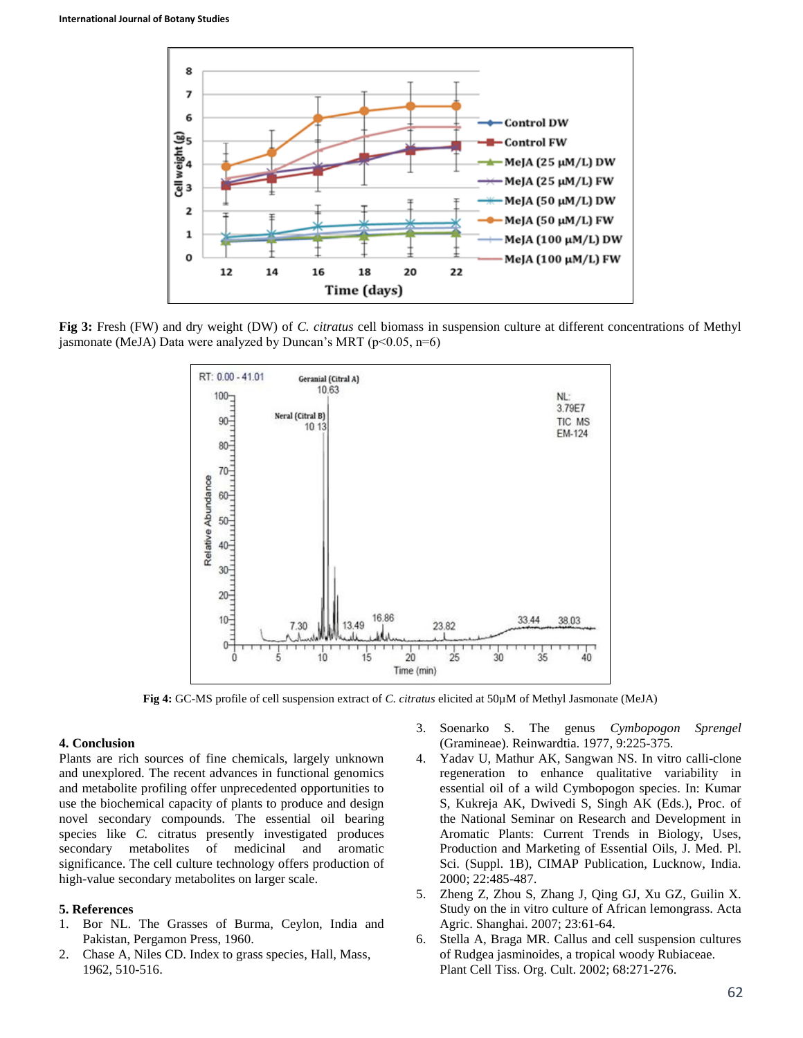

**Fig 3:** Fresh (FW) and dry weight (DW) of *C. citratus* cell biomass in suspension culture at different concentrations of Methyl jasmonate (MeJA) Data were analyzed by Duncan's MRT ( $p<0.05$ ,  $n=6$ )



**Fig 4:** GC-MS profile of cell suspension extract of *C. citratus* elicited at 50µM of Methyl Jasmonate (MeJA)

#### **4. Conclusion**

Plants are rich sources of fine chemicals, largely unknown and unexplored. The recent advances in functional genomics and metabolite profiling offer unprecedented opportunities to use the biochemical capacity of plants to produce and design novel secondary compounds. The essential oil bearing species like *C.* citratus presently investigated produces secondary metabolites of medicinal and aromatic significance. The cell culture technology offers production of high-value secondary metabolites on larger scale.

#### **5. References**

- 1. Bor NL. The Grasses of Burma, Ceylon, India and Pakistan, Pergamon Press, 1960.
- 2. Chase A, Niles CD. Index to grass species, Hall, Mass, 1962, 510-516.
- 3. Soenarko S. The genus *Cymbopogon Sprengel* (Gramineae). Reinwardtia. 1977, 9:225-375.
- 4. Yadav U, Mathur AK, Sangwan NS. In vitro calli-clone regeneration to enhance qualitative variability in essential oil of a wild Cymbopogon species. In: Kumar S, Kukreja AK, Dwivedi S, Singh AK (Eds.), Proc. of the National Seminar on Research and Development in Aromatic Plants: Current Trends in Biology, Uses, Production and Marketing of Essential Oils, J. Med. Pl. Sci. (Suppl. 1B), CIMAP Publication, Lucknow, India. 2000; 22:485-487.
- 5. Zheng Z, Zhou S, Zhang J, Qing GJ, Xu GZ, Guilin X. Study on the in vitro culture of African lemongrass. Acta Agric. Shanghai. 2007; 23:61-64.
- 6. Stella A, Braga MR. Callus and cell suspension cultures of Rudgea jasminoides, a tropical woody Rubiaceae. Plant Cell Tiss. Org. Cult. 2002; 68:271-276.